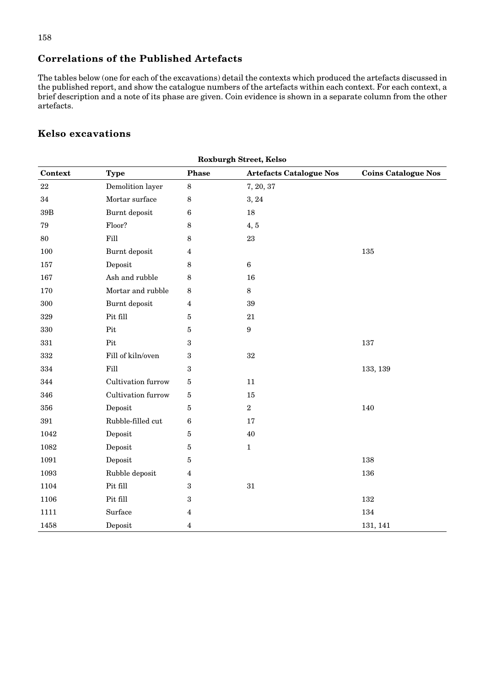## **Correlations of the Published Artefacts**

The tables below (one for each of the excavations) detail the contexts which produced the artefacts discussed in the published report, and show the catalogue numbers of the artefacts within each context. For each context, a brief description and a note of its phase are given. Coin evidence is shown in a separate column from the other artefacts.

## **Kelso excavations**

| <b>Roxburgh Street, Kelso</b> |                    |                |                                |                            |
|-------------------------------|--------------------|----------------|--------------------------------|----------------------------|
| Context                       | <b>Type</b>        | Phase          | <b>Artefacts Catalogue Nos</b> | <b>Coins Catalogue Nos</b> |
| $22\,$                        | Demolition layer   | 8              | 7, 20, 37                      |                            |
| 34                            | Mortar surface     | 8              | 3, 24                          |                            |
| $39\mathrm{B}$                | Burnt deposit      | $\bf 6$        | 18                             |                            |
| 79                            | Floor?             | 8              | 4, 5                           |                            |
| 80                            | Fill               | 8              | 23                             |                            |
| 100                           | Burnt deposit      | 4              |                                | 135                        |
| 157                           | Deposit            | 8              | $\boldsymbol{6}$               |                            |
| 167                           | Ash and rubble     | 8              | 16                             |                            |
| 170                           | Mortar and rubble  | $\,8\,$        | $\,8\,$                        |                            |
| 300                           | Burnt deposit      | 4              | 39                             |                            |
| $329\,$                       | Pit fill           | 5              | 21                             |                            |
| 330                           | Pit                | $\overline{5}$ | $\boldsymbol{9}$               |                            |
| 331                           | Pit                | 3              |                                | 137                        |
| $332\,$                       | Fill of kiln/oven  | 3              | $32\,$                         |                            |
| 334                           | Fill               | 3              |                                | 133, 139                   |
| 344                           | Cultivation furrow | 5              | 11                             |                            |
| 346                           | Cultivation furrow | $\overline{5}$ | 15                             |                            |
| 356                           | Deposit            | $\overline{5}$ | $\,2$                          | 140                        |
| 391                           | Rubble-filled cut  | 6              | 17                             |                            |
| 1042                          | Deposit            | 5              | 40                             |                            |
| 1082                          | Deposit            | $\overline{5}$ | $\mathbf 1$                    |                            |
| 1091                          | Deposit            | 5              |                                | 138                        |
| 1093                          | Rubble deposit     | $\overline{4}$ |                                | 136                        |
| 1104                          | Pit fill           | 3              | $31\,$                         |                            |
| 1106                          | Pit fill           | 3              |                                | 132                        |
| 1111                          | Surface            | 4              |                                | 134                        |
| 1458                          | Deposit            | 4              |                                | 131, 141                   |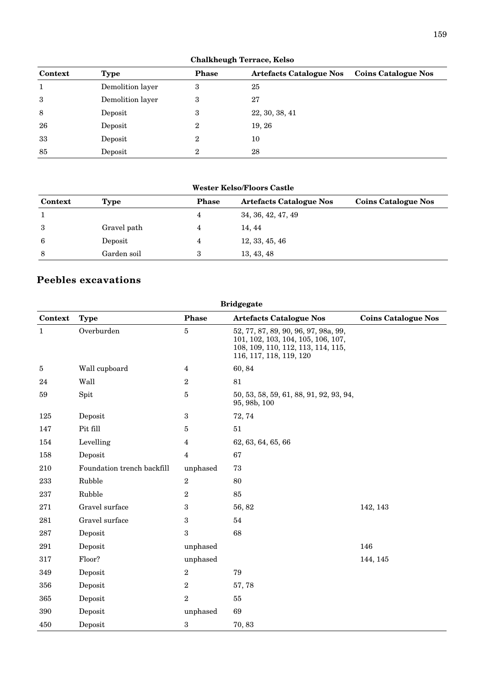| $\frac{1}{2}$ |                  |              |                                |                            |  |
|---------------|------------------|--------------|--------------------------------|----------------------------|--|
| Context       | Type             | <b>Phase</b> | <b>Artefacts Catalogue Nos</b> | <b>Coins Catalogue Nos</b> |  |
|               | Demolition layer | 3            | 25                             |                            |  |
| 3             | Demolition layer | 3            | 27                             |                            |  |
| 8             | Deposit          | 3            | 22, 30, 38, 41                 |                            |  |
| 26            | Deposit          | 2            | 19, 26                         |                            |  |
| 33            | Deposit          | 2            | 10                             |                            |  |
| 85            | Deposit          | 2            | 28                             |                            |  |

**Chalkheugh Terrace, Kelso**

| <b>Wester Kelso/Floors Castle</b> |             |              |                                |                            |  |
|-----------------------------------|-------------|--------------|--------------------------------|----------------------------|--|
| Context                           | Type        | <b>Phase</b> | <b>Artefacts Catalogue Nos</b> | <b>Coins Catalogue Nos</b> |  |
|                                   |             | 4            | 34, 36, 42, 47, 49             |                            |  |
| 3                                 | Gravel path | 4            | 14, 44                         |                            |  |
| 6                                 | Deposit     | 4            | 12, 33, 45, 46                 |                            |  |
| 8                                 | Garden soil | 3            | 13, 43, 48                     |                            |  |

## **Peebles excavations**

| <b>Bridgegate</b> |                            |                         |                                                                                                                                             |                            |  |
|-------------------|----------------------------|-------------------------|---------------------------------------------------------------------------------------------------------------------------------------------|----------------------------|--|
| Context           | <b>Type</b>                | <b>Phase</b>            | <b>Artefacts Catalogue Nos</b>                                                                                                              | <b>Coins Catalogue Nos</b> |  |
| $\mathbf{1}$      | Overburden                 | $\bf 5$                 | 52, 77, 87, 89, 90, 96, 97, 98a, 99,<br>101, 102, 103, 104, 105, 106, 107,<br>108, 109, 110, 112, 113, 114, 115,<br>116, 117, 118, 119, 120 |                            |  |
| $\bf 5$           | Wall cupboard              | $\overline{4}$          | 60, 84                                                                                                                                      |                            |  |
| 24                | Wall                       | $\sqrt{2}$              | 81                                                                                                                                          |                            |  |
| 59                | Spit                       | $\bf 5$                 | 50, 53, 58, 59, 61, 88, 91, 92, 93, 94,<br>95, 98b, 100                                                                                     |                            |  |
| 125               | Deposit                    | $\sqrt{3}$              | 72, 74                                                                                                                                      |                            |  |
| 147               | Pit fill                   | $\bf 5$                 | $51\,$                                                                                                                                      |                            |  |
| 154               | Levelling                  | $\overline{\mathbf{4}}$ | 62, 63, 64, 65, 66                                                                                                                          |                            |  |
| 158               | Deposit                    | $\overline{4}$          | 67                                                                                                                                          |                            |  |
| 210               | Foundation trench backfill | unphased                | 73                                                                                                                                          |                            |  |
| 233               | Rubble                     | $\sqrt{2}$              | 80                                                                                                                                          |                            |  |
| 237               | Rubble                     | $\overline{2}$          | 85                                                                                                                                          |                            |  |
| 271               | Gravel surface             | $\sqrt{3}$              | 56, 82                                                                                                                                      | 142, 143                   |  |
| 281               | Gravel surface             | $\sqrt{3}$              | 54                                                                                                                                          |                            |  |
| 287               | Deposit                    | $\mathbf{3}$            | 68                                                                                                                                          |                            |  |
| 291               | Deposit                    | unphased                |                                                                                                                                             | 146                        |  |
| 317               | Floor?                     | unphased                |                                                                                                                                             | 144, 145                   |  |
| 349               | Deposit                    | $\overline{2}$          | 79                                                                                                                                          |                            |  |
| 356               | Deposit                    | $\boldsymbol{2}$        | 57,78                                                                                                                                       |                            |  |
| 365               | Deposit                    | $\sqrt{2}$              | $55\,$                                                                                                                                      |                            |  |
| 390               | Deposit                    | unphased                | 69                                                                                                                                          |                            |  |
| 450               | Deposit                    | $\sqrt{3}$              | 70,83                                                                                                                                       |                            |  |